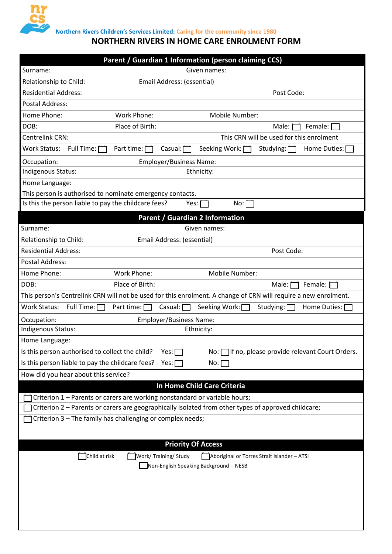

**Northern Rivers Children's Services Limited: Caring for the community since 1980**

# **NORTHERN RIVERS IN HOME CARE ENROLMENT FORM**

| Parent / Guardian 1 Information (person claiming CCS)                                                                     |  |  |  |  |  |  |  |  |
|---------------------------------------------------------------------------------------------------------------------------|--|--|--|--|--|--|--|--|
| Given names:<br>Surname:                                                                                                  |  |  |  |  |  |  |  |  |
| Email Address: (essential)<br>Relationship to Child:                                                                      |  |  |  |  |  |  |  |  |
| <b>Residential Address:</b><br>Post Code:                                                                                 |  |  |  |  |  |  |  |  |
| <b>Postal Address:</b>                                                                                                    |  |  |  |  |  |  |  |  |
| Home Phone:<br>Work Phone:<br>Mobile Number:                                                                              |  |  |  |  |  |  |  |  |
| Place of Birth:<br>DOB:<br>Female: $\Box$<br>Male:                                                                        |  |  |  |  |  |  |  |  |
| This CRN will be used for this enrolment<br>Centrelink CRN:                                                               |  |  |  |  |  |  |  |  |
| Full Time: [<br>Seeking Work: [<br><b>Work Status:</b><br>Part time: [<br>Casual: [<br>Home Duties: [<br>Studying: $\Box$ |  |  |  |  |  |  |  |  |
| Employer/Business Name:<br>Occupation:                                                                                    |  |  |  |  |  |  |  |  |
| Indigenous Status:<br>Ethnicity:                                                                                          |  |  |  |  |  |  |  |  |
| Home Language:                                                                                                            |  |  |  |  |  |  |  |  |
| This person is authorised to nominate emergency contacts.                                                                 |  |  |  |  |  |  |  |  |
| Is this the person liable to pay the childcare fees?<br>Yes: $\Box$<br>No: [                                              |  |  |  |  |  |  |  |  |
| Parent / Guardian 2 Information                                                                                           |  |  |  |  |  |  |  |  |
| Surname:<br>Given names:                                                                                                  |  |  |  |  |  |  |  |  |
| Email Address: (essential)<br>Relationship to Child:                                                                      |  |  |  |  |  |  |  |  |
| <b>Residential Address:</b><br>Post Code:                                                                                 |  |  |  |  |  |  |  |  |
| <b>Postal Address:</b>                                                                                                    |  |  |  |  |  |  |  |  |
| Home Phone:<br><b>Work Phone:</b><br>Mobile Number:                                                                       |  |  |  |  |  |  |  |  |
| Place of Birth:<br>DOB:<br>Male: [<br>Female:                                                                             |  |  |  |  |  |  |  |  |
| This person's Centrelink CRN will not be used for this enrolment. A change of CRN will require a new enrolment.           |  |  |  |  |  |  |  |  |
| Full Time: [<br><b>Work Status:</b><br>Part time: [<br>Casual: [<br>Seeking Work:<br>Studying: [<br>Home Duties: [        |  |  |  |  |  |  |  |  |
| Employer/Business Name:<br>Occupation:                                                                                    |  |  |  |  |  |  |  |  |
| Indigenous Status:<br>Ethnicity:                                                                                          |  |  |  |  |  |  |  |  |
| Home Language:                                                                                                            |  |  |  |  |  |  |  |  |
| Is this person authorised to collect the child?<br>Yes: [<br>No: If no, please provide relevant Court Orders.             |  |  |  |  |  |  |  |  |
| Is this person liable to pay the childcare fees?<br>Yes:<br>No:                                                           |  |  |  |  |  |  |  |  |
| How did you hear about this service?                                                                                      |  |  |  |  |  |  |  |  |
| In Home Child Care Criteria                                                                                               |  |  |  |  |  |  |  |  |
| Criterion 1 - Parents or carers are working nonstandard or variable hours;                                                |  |  |  |  |  |  |  |  |
| Criterion 2 - Parents or carers are geographically isolated from other types of approved childcare;                       |  |  |  |  |  |  |  |  |
| Criterion 3 - The family has challenging or complex needs;                                                                |  |  |  |  |  |  |  |  |
|                                                                                                                           |  |  |  |  |  |  |  |  |
| <b>Priority Of Access</b>                                                                                                 |  |  |  |  |  |  |  |  |
| Work/Training/Study<br>Child at risk<br>Aboriginal or Torres Strait Islander - ATSI                                       |  |  |  |  |  |  |  |  |
| Non-English Speaking Background - NESB                                                                                    |  |  |  |  |  |  |  |  |
|                                                                                                                           |  |  |  |  |  |  |  |  |
|                                                                                                                           |  |  |  |  |  |  |  |  |
|                                                                                                                           |  |  |  |  |  |  |  |  |
|                                                                                                                           |  |  |  |  |  |  |  |  |
|                                                                                                                           |  |  |  |  |  |  |  |  |
|                                                                                                                           |  |  |  |  |  |  |  |  |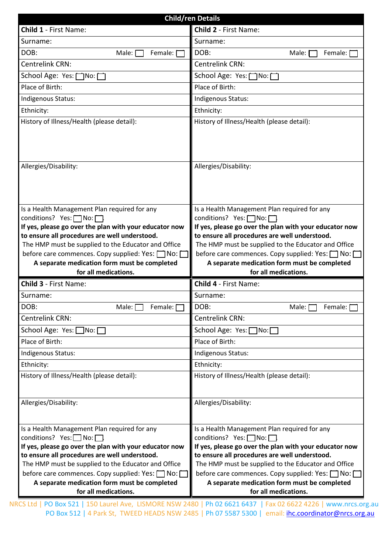| <b>Child/ren Details</b>                               |                                                        |  |  |  |  |  |  |  |  |
|--------------------------------------------------------|--------------------------------------------------------|--|--|--|--|--|--|--|--|
| Child 1 - First Name:                                  | <b>Child 2 - First Name:</b>                           |  |  |  |  |  |  |  |  |
| Surname:                                               | Surname:                                               |  |  |  |  |  |  |  |  |
| DOB:<br>Male: [<br>Female:                             | DOB:<br>Female:<br>Male:                               |  |  |  |  |  |  |  |  |
| Centrelink CRN:                                        | Centrelink CRN:                                        |  |  |  |  |  |  |  |  |
| School Age: Yes: No:                                   | School Age: Yes: [<br>1No: [                           |  |  |  |  |  |  |  |  |
| Place of Birth:                                        | Place of Birth:                                        |  |  |  |  |  |  |  |  |
| Indigenous Status:                                     | Indigenous Status:                                     |  |  |  |  |  |  |  |  |
| Ethnicity:                                             | Ethnicity:                                             |  |  |  |  |  |  |  |  |
| History of Illness/Health (please detail):             | History of Illness/Health (please detail):             |  |  |  |  |  |  |  |  |
|                                                        |                                                        |  |  |  |  |  |  |  |  |
|                                                        |                                                        |  |  |  |  |  |  |  |  |
| Allergies/Disability:                                  | Allergies/Disability:                                  |  |  |  |  |  |  |  |  |
|                                                        |                                                        |  |  |  |  |  |  |  |  |
|                                                        |                                                        |  |  |  |  |  |  |  |  |
| Is a Health Management Plan required for any           | Is a Health Management Plan required for any           |  |  |  |  |  |  |  |  |
| conditions? Yes:□No:□                                  | conditions? Yes: □No: □                                |  |  |  |  |  |  |  |  |
| If yes, please go over the plan with your educator now | If yes, please go over the plan with your educator now |  |  |  |  |  |  |  |  |
| to ensure all procedures are well understood.          | to ensure all procedures are well understood.          |  |  |  |  |  |  |  |  |
| The HMP must be supplied to the Educator and Office    | The HMP must be supplied to the Educator and Office    |  |  |  |  |  |  |  |  |
| before care commences. Copy supplied: Yes: \[ No: [    | before care commences. Copy supplied: Yes: \[ No: [    |  |  |  |  |  |  |  |  |
| A separate medication form must be completed           | A separate medication form must be completed           |  |  |  |  |  |  |  |  |
| for all medications.                                   | for all medications.                                   |  |  |  |  |  |  |  |  |
| <b>Child 3 - First Name:</b>                           | <b>Child 4 - First Name:</b>                           |  |  |  |  |  |  |  |  |
| Surname:                                               | Surname:                                               |  |  |  |  |  |  |  |  |
| DOB:<br>Male: $\Box$ Female: $\Box$                    | DOB:<br>Male: $\Box$ Female: $\Box$                    |  |  |  |  |  |  |  |  |
| Centrelink CRN:                                        | <b>Centrelink CRN:</b>                                 |  |  |  |  |  |  |  |  |
| School Age: Yes: No: □                                 | School Age: Yes: no:                                   |  |  |  |  |  |  |  |  |
| Place of Birth:                                        | Place of Birth:                                        |  |  |  |  |  |  |  |  |
| Indigenous Status:                                     | Indigenous Status:                                     |  |  |  |  |  |  |  |  |
| Ethnicity:                                             | Ethnicity:                                             |  |  |  |  |  |  |  |  |
| History of Illness/Health (please detail):             | History of Illness/Health (please detail):             |  |  |  |  |  |  |  |  |
|                                                        |                                                        |  |  |  |  |  |  |  |  |
| Allergies/Disability:                                  | Allergies/Disability:                                  |  |  |  |  |  |  |  |  |
|                                                        |                                                        |  |  |  |  |  |  |  |  |
| Is a Health Management Plan required for any           | Is a Health Management Plan required for any           |  |  |  |  |  |  |  |  |
| conditions? Yes: $\Box$ No: $\Box$                     | conditions? Yes: No: <del></del>                       |  |  |  |  |  |  |  |  |
| If yes, please go over the plan with your educator now | If yes, please go over the plan with your educator now |  |  |  |  |  |  |  |  |
| to ensure all procedures are well understood.          | to ensure all procedures are well understood.          |  |  |  |  |  |  |  |  |
| The HMP must be supplied to the Educator and Office    | The HMP must be supplied to the Educator and Office    |  |  |  |  |  |  |  |  |
| before care commences. Copy supplied: Yes: \[ No: \[   | before care commences. Copy supplied: Yes: ONO: O      |  |  |  |  |  |  |  |  |
| A separate medication form must be completed           | A separate medication form must be completed           |  |  |  |  |  |  |  |  |
| for all medications.                                   | for all medications.                                   |  |  |  |  |  |  |  |  |

NRCS Ltd | PO Box 521 | 150 Laurel Ave, LISMORE NSW 2480 | Ph 02 6621 6437 | Fax 02 6622 4226 | www.nrcs.org.au PO Box 512 | 4 Park St, TWEED HEADS NSW 2485 | Ph 07 5587 5300 | email: *ihc.coordinator@nrcs.org.au*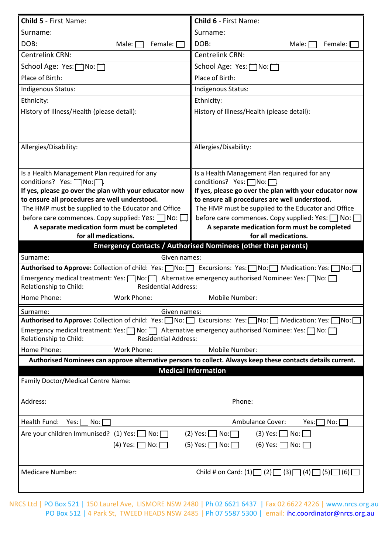| Child 5 - First Name:                                                                                                                                                                                                          | Child 6 - First Name:                                                                                       |  |  |  |  |  |  |  |
|--------------------------------------------------------------------------------------------------------------------------------------------------------------------------------------------------------------------------------|-------------------------------------------------------------------------------------------------------------|--|--|--|--|--|--|--|
| Surname:                                                                                                                                                                                                                       | Surname:                                                                                                    |  |  |  |  |  |  |  |
| DOB:<br>Male: [<br>Female: I                                                                                                                                                                                                   | DOB:<br>Male: [<br>Female:                                                                                  |  |  |  |  |  |  |  |
| Centrelink CRN:                                                                                                                                                                                                                | <b>Centrelink CRN:</b>                                                                                      |  |  |  |  |  |  |  |
| School Age: Yes:   No:                                                                                                                                                                                                         | School Age: Yes: [<br>$7No: \Box$                                                                           |  |  |  |  |  |  |  |
| Place of Birth:                                                                                                                                                                                                                | Place of Birth:                                                                                             |  |  |  |  |  |  |  |
| Indigenous Status:                                                                                                                                                                                                             | Indigenous Status:                                                                                          |  |  |  |  |  |  |  |
|                                                                                                                                                                                                                                |                                                                                                             |  |  |  |  |  |  |  |
| Ethnicity:                                                                                                                                                                                                                     | Ethnicity:                                                                                                  |  |  |  |  |  |  |  |
| History of Illness/Health (please detail):                                                                                                                                                                                     | History of Illness/Health (please detail):                                                                  |  |  |  |  |  |  |  |
|                                                                                                                                                                                                                                |                                                                                                             |  |  |  |  |  |  |  |
|                                                                                                                                                                                                                                |                                                                                                             |  |  |  |  |  |  |  |
| Allergies/Disability:                                                                                                                                                                                                          | Allergies/Disability:                                                                                       |  |  |  |  |  |  |  |
|                                                                                                                                                                                                                                |                                                                                                             |  |  |  |  |  |  |  |
| Is a Health Management Plan required for any                                                                                                                                                                                   | Is a Health Management Plan required for any                                                                |  |  |  |  |  |  |  |
| conditions? Yes: \\rightarrow Yes: \\rightarrow No: \\rightarrow \rightarrow \rightarrow \rightarrow \rightarrow \rightarrow \rightarrow \rightarrow \rightarrow \rightarrow \rightarrow \rightarrow \rightarrow \rightarrow \ | conditions? Yes:   No:   .                                                                                  |  |  |  |  |  |  |  |
| If yes, please go over the plan with your educator now                                                                                                                                                                         | If yes, please go over the plan with your educator now                                                      |  |  |  |  |  |  |  |
| to ensure all procedures are well understood.                                                                                                                                                                                  | to ensure all procedures are well understood.                                                               |  |  |  |  |  |  |  |
| The HMP must be supplied to the Educator and Office                                                                                                                                                                            | The HMP must be supplied to the Educator and Office                                                         |  |  |  |  |  |  |  |
| before care commences. Copy supplied: Yes: $\Box$ No: $\Box$                                                                                                                                                                   | before care commences. Copy supplied: Yes: □ No: [                                                          |  |  |  |  |  |  |  |
| A separate medication form must be completed                                                                                                                                                                                   | A separate medication form must be completed                                                                |  |  |  |  |  |  |  |
| for all medications.                                                                                                                                                                                                           | for all medications.                                                                                        |  |  |  |  |  |  |  |
|                                                                                                                                                                                                                                | <b>Emergency Contacts / Authorised Nominees (other than parents)</b>                                        |  |  |  |  |  |  |  |
| Surname:<br>Given names:                                                                                                                                                                                                       |                                                                                                             |  |  |  |  |  |  |  |
| Authorised to Approve: Collection of child: Yes: No:   Excursions: Yes: No:   Medication: Yes:   No:                                                                                                                           |                                                                                                             |  |  |  |  |  |  |  |
| Emergency medical treatment: Yes: [ No: [ Alternative emergency authorised Nominee: Yes: [<br>าิNo∶ ์                                                                                                                          |                                                                                                             |  |  |  |  |  |  |  |
| Relationship to Child:<br><b>Residential Address:</b>                                                                                                                                                                          |                                                                                                             |  |  |  |  |  |  |  |
| Home Phone:<br><b>Work Phone:</b>                                                                                                                                                                                              | Mobile Number:                                                                                              |  |  |  |  |  |  |  |
| Surname:<br>Given names:                                                                                                                                                                                                       |                                                                                                             |  |  |  |  |  |  |  |
| Authorised to Approve: Collection of child: Yes: No: Excursions: Yes: No: Nedication: Yes: [                                                                                                                                   | ∏No: ∏                                                                                                      |  |  |  |  |  |  |  |
| Emergency medical treatment: Yes: \[\] No: \[\] Alternative emergency authorised Nominee: Yes: [\]                                                                                                                             | 1No: [                                                                                                      |  |  |  |  |  |  |  |
| Relationship to Child:<br><b>Residential Address:</b>                                                                                                                                                                          |                                                                                                             |  |  |  |  |  |  |  |
| Home Phone:<br><b>Work Phone:</b>                                                                                                                                                                                              | Mobile Number:                                                                                              |  |  |  |  |  |  |  |
|                                                                                                                                                                                                                                | Authorised Nominees can approve alternative persons to collect. Always keep these contacts details current. |  |  |  |  |  |  |  |
|                                                                                                                                                                                                                                | <b>Medical Information</b>                                                                                  |  |  |  |  |  |  |  |
| Family Doctor/Medical Centre Name:                                                                                                                                                                                             |                                                                                                             |  |  |  |  |  |  |  |
|                                                                                                                                                                                                                                |                                                                                                             |  |  |  |  |  |  |  |
| Address:                                                                                                                                                                                                                       | Phone:                                                                                                      |  |  |  |  |  |  |  |
| Health Fund:<br>ヿNo: [<br>Yes:                                                                                                                                                                                                 | Ambulance Cover:<br>  No:    <br>Yes: [                                                                     |  |  |  |  |  |  |  |
|                                                                                                                                                                                                                                |                                                                                                             |  |  |  |  |  |  |  |
| Are your children Immunised? (1) Yes: $\Box$ No: $\Box$                                                                                                                                                                        | $(2)$ Yes: $\Box$ No:<br>$(3)$ Yes: $\Box$ No: [                                                            |  |  |  |  |  |  |  |
| $(4)$ Yes: $\Box$ No: $\Box$                                                                                                                                                                                                   | $(5)$ Yes: $\Box$ No: $\Box$<br>(6) Yes: $\Box$ No: $\Box$                                                  |  |  |  |  |  |  |  |
|                                                                                                                                                                                                                                |                                                                                                             |  |  |  |  |  |  |  |
| <b>Medicare Number:</b>                                                                                                                                                                                                        |                                                                                                             |  |  |  |  |  |  |  |
|                                                                                                                                                                                                                                | Child # on Card: (1) $\Box$ (2) $\Box$ (3) $\Box$ (4) $\Box$ (5) $\Box$ (6) $\Box$                          |  |  |  |  |  |  |  |
|                                                                                                                                                                                                                                |                                                                                                             |  |  |  |  |  |  |  |

NRCS Ltd | PO Box 521 | 150 Laurel Ave, LISMORE NSW 2480 | Ph 02 6621 6437 | Fax 02 6622 4226 | www.nrcs.org.au PO Box 512 | 4 Park St, TWEED HEADS NSW 2485 | Ph 07 5587 5300 | email: *ihc.coordinator@nrcs.org.au*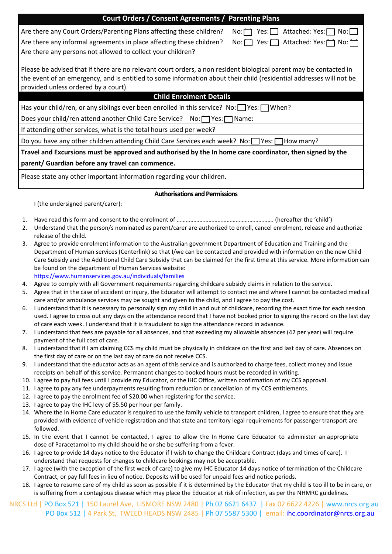| <b>Court Orders / Consent Agreements / Parenting Plans</b>                                                                                                                                                                                                                        |  |  |  |  |  |  |  |  |
|-----------------------------------------------------------------------------------------------------------------------------------------------------------------------------------------------------------------------------------------------------------------------------------|--|--|--|--|--|--|--|--|
| Are there any Court Orders/Parenting Plans affecting these children?<br>Attached: Yes:□<br>Yes:I I<br>$No: \Box$<br>No:  I                                                                                                                                                        |  |  |  |  |  |  |  |  |
| Are there any informal agreements in place affecting these children?<br>$No: \Box$ Yes: $\Box$ Attached: Yes: $\Box$<br>$No: \square$<br>Are there any persons not allowed to collect your children?                                                                              |  |  |  |  |  |  |  |  |
| Please be advised that if there are no relevant court orders, a non resident biological parent may be contacted in<br>the event of an emergency, and is entitled to some information about their child (residential addresses will not be<br>provided unless ordered by a court). |  |  |  |  |  |  |  |  |
| <b>Child Enrolment Details</b>                                                                                                                                                                                                                                                    |  |  |  |  |  |  |  |  |
| Has your child/ren, or any siblings ever been enrolled in this service? No: $\Box$ Yes: $\Box$ When?                                                                                                                                                                              |  |  |  |  |  |  |  |  |
| Does your child/ren attend another Child Care Service? No:   Yes:   Name:                                                                                                                                                                                                         |  |  |  |  |  |  |  |  |
| If attending other services, what is the total hours used per week?                                                                                                                                                                                                               |  |  |  |  |  |  |  |  |
| Do you have any other children attending Child Care Services each week? No: Yes: THow many?                                                                                                                                                                                       |  |  |  |  |  |  |  |  |
| Travel and Excursions must be approved and authorised by the In home care coordinator, then signed by the                                                                                                                                                                         |  |  |  |  |  |  |  |  |

### **parent/ Guardian before any travel can commence.**

Please state any other important information regarding your children.

#### **Authorisations and Permissions**

I (the undersigned parent/carer):

1. Have read this form and consent to the enrolment of ………………………………………………………. (hereafter the 'child')

- 2. Understand that the person/s nominated as parent/carer are authorized to enroll, cancel enrolment, release and authorize release of the child.
- 3. Agree to provide enrolment information to the Australian government Department of Education and Training and the Department of Human services (Centerlink) so that I/we can be contacted and provided with information on the new Child Care Subsidy and the Additional Child Care Subsidy that can be claimed for the first time at this service. More information can be found on the department of Human Services website:

<https://www.humanservices.gov.au/individuals/families>

- 4. Agree to comply with all Government requirements regarding childcare subsidy claims in relation to the service.
- 5. Agree that in the case of accident or injury, the Educator will attempt to contact me and where I cannot be contacted medical care and/or ambulance services may be sought and given to the child, and I agree to pay the cost.
- 6. I understand that it is necessary to personally sign my child in and out of childcare, recording the exact time for each session used. I agree to cross out any days on the attendance record that I have not booked prior to signing the record on the last day of care each week. I understand that it is fraudulent to sign the attendance record in advance.
- 7. I understand that fees are payable for all absences, and that exceeding my allowable absences (42 per year) will require payment of the full cost of care.
- 8. I understand that if I am claiming CCS my child must be physically in childcare on the first and last day of care. Absences on the first day of care or on the last day of care do not receive CCS.
- 9. I understand that the educator acts as an agent of this service and is authorized to charge fees, collect money and issue receipts on behalf of this service. Permanent changes to booked hours must be recorded in writing.
- 10. I agree to pay full fees until I provide my Educator, or the IHC Office, written confirmation of my CCS approval.
- 11. I agree to pay any fee underpayments resulting from reduction or cancellation of my CCS entitlements.
- 12. I agree to pay the enrolment fee of \$20.00 when registering for the service.
- 13. I agree to pay the IHC levy of \$5.50 per hour per family.
- 14. Where the In Home Care educator is required to use the family vehicle to transport children, I agree to ensure that they are provided with evidence of vehicle registration and that state and territory legal requirements for passenger transport are followed.
- 15. In the event that I cannot be contacted, I agree to allow the In Home Care Educator to administer an appropriate dose of Paracetamol to my child should he or she be suffering from a fever.
- 16. I agree to provide 14 days notice to the Educator if I wish to change the Childcare Contract (days and times of care). I understand that requests for changes to childcare bookings may not be acceptable.
- 17. I agree (with the exception of the first week of care) to give my IHC Educator 14 days notice of termination of the Childcare Contract, or pay full fees in lieu of notice. Deposits will be used for unpaid fees and notice periods.
- 18. I agree to resume care of my child as soon as possible if it is determined by the Educator that my child is too ill to be in care, or is suffering from a contagious disease which may place the Educator at risk of infection, as per the NHMRC guidelines.
- NRCS Ltd | PO Box 521 | 150 Laurel Ave, LISMORE NSW 2480 | Ph 02 6621 6437 | Fax 02 6622 4226 | www.nrcs.org.au PO Box 512 | 4 Park St, TWEED HEADS NSW 2485 | Ph 07 5587 5300 | email: [ihc.coordinator@nrcs.org.au](mailto:ihc.coordinator@nrcs.org.au)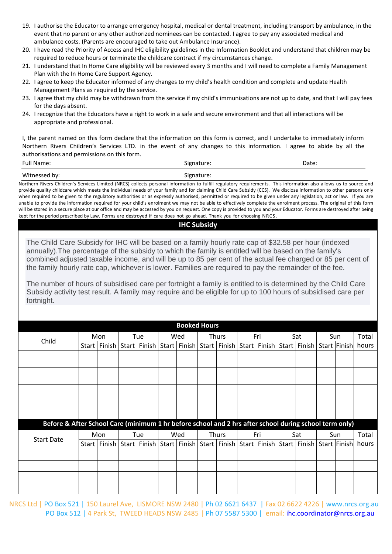- 19. I authorise the Educator to arrange emergency hospital, medical or dental treatment, including transport by ambulance, in the event that no parent or any other authorized nominees can be contacted. I agree to pay any associated medical and ambulance costs. (Parents are encouraged to take out Ambulance Insurance).
- 20. I have read the Priority of Access and IHC eligibility guidelines in the Information Booklet and understand that children may be required to reduce hours or terminate the childcare contract if my circumstances change.
- 21. I understand that In Home Care eligibility will be reviewed every 3 months and I will need to complete a Family Management Plan with the In Home Care Support Agency.
- 22. I agree to keep the Educator informed of any changes to my child's health condition and complete and update Health Management Plans as required by the service.
- 23. I agree that my child may be withdrawn from the service if my child's immunisations are not up to date, and that I will pay fees for the days absent.
- 24. I recognize that the Educators have a right to work in a safe and secure environment and that all interactions will be appropriate and professional.

I, the parent named on this form declare that the information on this form is correct, and I undertake to immediately inform Northern Rivers Children's Services LTD. in the event of any changes to this information. I agree to abide by all the authorisations and permissions on this form.

| <b>Full Name:</b> | Signature: | Date: |
|-------------------|------------|-------|
| Witnessed by:     | Signature: |       |

Northern Rivers Children's Services Limited (NRCS) collects personal information to fulfill regulatory requirements. This information also allows us to source and provide quality childcare which meets the individual needs of your family and for claiming Child Care Subsidy (CCS). We disclose information to other persons only when required to be given to the regulatory authorities or as expressly authorised, permitted or required to be given under any legislation, act or law. If you are unable to provide the information required for your child's enrolment we may not be able to effectively complete the enrolment process. The original of this form will be stored in a secure place at our office and may be accessed by you on request. One copy is provided to you and your Educator. Forms are destroyed after being kept for the period prescribed by Law. Forms are destroyed if care does not go ahead. Thank you for choosing NRCS.

## **IHC Subsidy**

The Child Care Subsidy for IHC will be based on a family hourly rate cap of \$32.58 per hour (indexed annually).The percentage of the subsidy to which the family is entitled will be based on the family's combined adjusted taxable income, and will be up to 85 per cent of the actual fee charged or 85 per cent of the family hourly rate cap, whichever is lower. Families are required to pay the remainder of the fee.

The number of hours of subsidised care per fortnight a family is entitled to is determined by the Child Care Subsidy activity test result. A family may require and be eligible for up to 100 hours of subsidised care per fortnight.

| <b>Booked Hours</b>                                                                                    |         |               |  |                |       |                                                                   |  |                                                           |  |     |     |  |     |              |       |
|--------------------------------------------------------------------------------------------------------|---------|---------------|--|----------------|-------|-------------------------------------------------------------------|--|-----------------------------------------------------------|--|-----|-----|--|-----|--------------|-------|
|                                                                                                        |         | Mon           |  | Tue            |       | Wed                                                               |  | <b>Thurs</b>                                              |  | Fri | Sat |  | Sun |              | Total |
| Child                                                                                                  | Start I | Finish        |  | Start   Finish | Start |                                                                   |  | Finish   Start   Finish   Start   Finish   Start   Finish |  |     |     |  |     | Start Finish | hours |
|                                                                                                        |         |               |  |                |       |                                                                   |  |                                                           |  |     |     |  |     |              |       |
|                                                                                                        |         |               |  |                |       |                                                                   |  |                                                           |  |     |     |  |     |              |       |
|                                                                                                        |         |               |  |                |       |                                                                   |  |                                                           |  |     |     |  |     |              |       |
|                                                                                                        |         |               |  |                |       |                                                                   |  |                                                           |  |     |     |  |     |              |       |
|                                                                                                        |         |               |  |                |       |                                                                   |  |                                                           |  |     |     |  |     |              |       |
| Before & After School Care (minimum 1 hr before school and 2 hrs after school during school term only) |         |               |  |                |       |                                                                   |  |                                                           |  |     |     |  |     |              |       |
|                                                                                                        |         | Mon           |  | Tue            |       | Wed                                                               |  | Thurs<br>Fri                                              |  | Sat |     |  |     | Sun          | Total |
| <b>Start Date</b>                                                                                      | Start   | <b>Finish</b> |  | Start   Finish |       | Start   Finish   Start   Finish   Start   Finish   Start   Finish |  |                                                           |  |     |     |  |     | Start Finish | hours |
|                                                                                                        |         |               |  |                |       |                                                                   |  |                                                           |  |     |     |  |     |              |       |
|                                                                                                        |         |               |  |                |       |                                                                   |  |                                                           |  |     |     |  |     |              |       |
|                                                                                                        |         |               |  |                |       |                                                                   |  |                                                           |  |     |     |  |     |              |       |
|                                                                                                        |         |               |  |                |       |                                                                   |  |                                                           |  |     |     |  |     |              |       |

NRCS Ltd | PO Box 521 | 150 Laurel Ave, LISMORE NSW 2480 | Ph 02 6621 6437 | Fax 02 6622 4226 | www.nrcs.org.au PO Box 512 | 4 Park St, TWEED HEADS NSW 2485 | Ph 07 5587 5300 | email: [ihc.coordinator@nrcs.org.au](mailto:ihc.coordinator@nrcs.org.au)